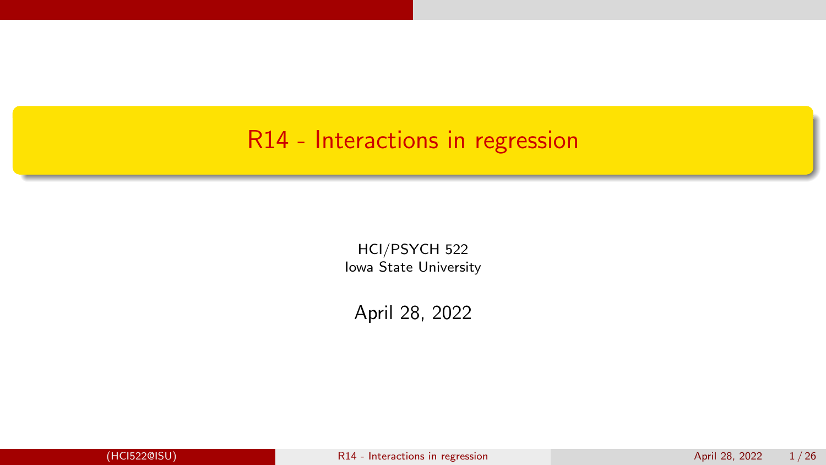#### <span id="page-0-0"></span>R14 - Interactions in regression

HCI/PSYCH 522 Iowa State University

April 28, 2022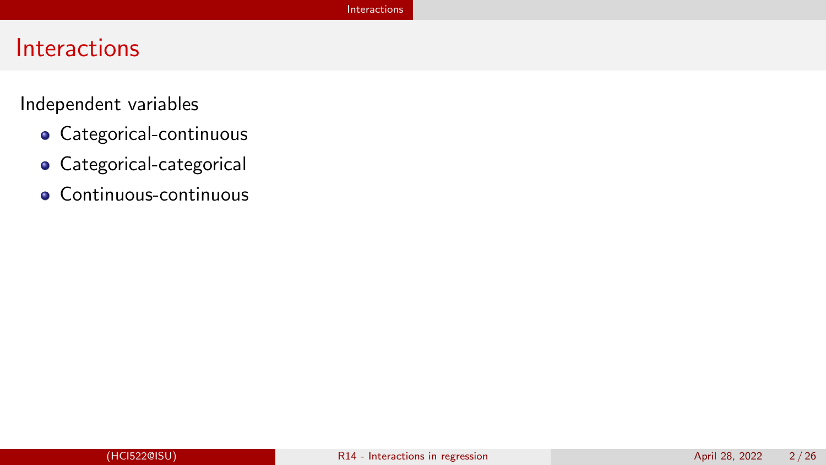#### <span id="page-1-0"></span>**Interactions**

Independent variables

- Categorical-continuous
- **•** Categorical-categorical
- Continuous-continuous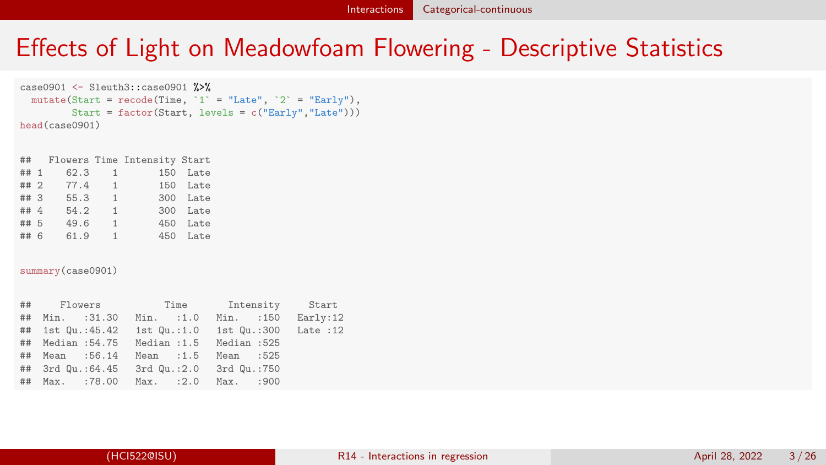## <span id="page-2-0"></span>Effects of Light on Meadowfoam Flowering - Descriptive Statistics

```
case0901 <- Sleuth3::case0901 %>%
  mutate(Start = recode(Time, '1' = "Late", '2' = "Early"),
         Start = factor(Start, levels = c("Early","Late")))
head(case0901)
```

|      |      |                | ## Flowers Time Intensity Start |          |
|------|------|----------------|---------------------------------|----------|
| ## 1 | 62.3 |                | $1 \quad \cdots$                | 150 Late |
| ##2  | 77.4 |                | 1                               | 150 Late |
| ##3  | 55.3 | 1              |                                 | 300 Late |
| ## 4 | 54.2 | 1              |                                 | 300 Late |
| ## 5 | 49.6 | 1              |                                 | 450 Late |
| ## 6 | 61.9 | $\overline{1}$ |                                 | 450 Late |
|      |      |                |                                 |          |

summary(case0901)

| ## Flowers Time Intensity Start                   |  |  |
|---------------------------------------------------|--|--|
| ## Min. :31.30 Min. :1.0 Min. :150 Early:12       |  |  |
| ## 1st Qu.:45.42 1st Qu.:1.0 1st Qu.:300 Late :12 |  |  |
| ## Median :54.75 Median :1.5 Median :525          |  |  |
| ## Mean :56.14 Mean :1.5 Mean :525                |  |  |
| ## 3rd Qu.:64.45 3rd Qu.:2.0 3rd Qu.:750          |  |  |
| ## Max. :78.00 Max. :2.0 Max. :900                |  |  |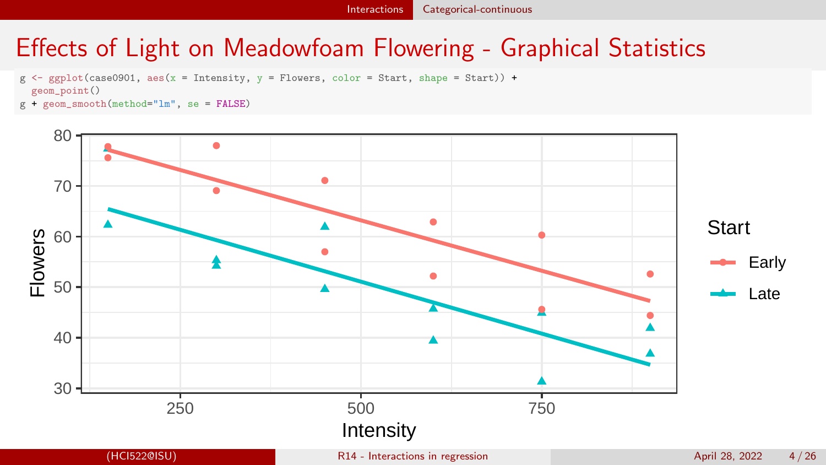## Effects of Light on Meadowfoam Flowering - Graphical Statistics

- $g \leftarrow ggplot(case0901, \text{aes}(x = Intensity, y = Flowers, color = Start, shape = Start)) +$ geom\_point()
- $g + g$ eom smooth(method="lm", se = FALSE)

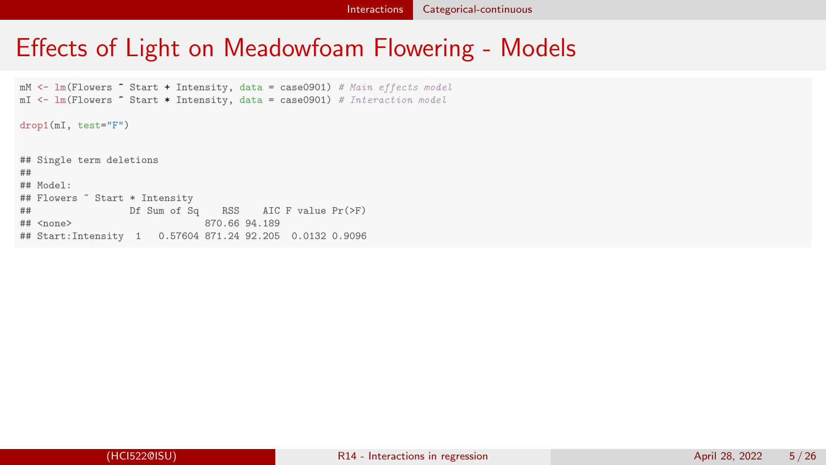#### Effects of Light on Meadowfoam Flowering - Models

```
mM <- lm(Flowers \tilde{}} Start + Intensity, data = case0901) # Main effects model
mI \leftarrow Im(Flowers \tilde{\neg} Start * Intensity, data = case0901) \# Interaction model
```
drop1(mI, test="F")

## Single term deletions ## ## Model: ## Flowers ~ Start \* Intensity ## Df Sum of Sq RSS AIC F value Pr(>F) 870.66 94.189 ## Start:Intensity 1 0.57604 871.24 92.205 0.0132 0.9096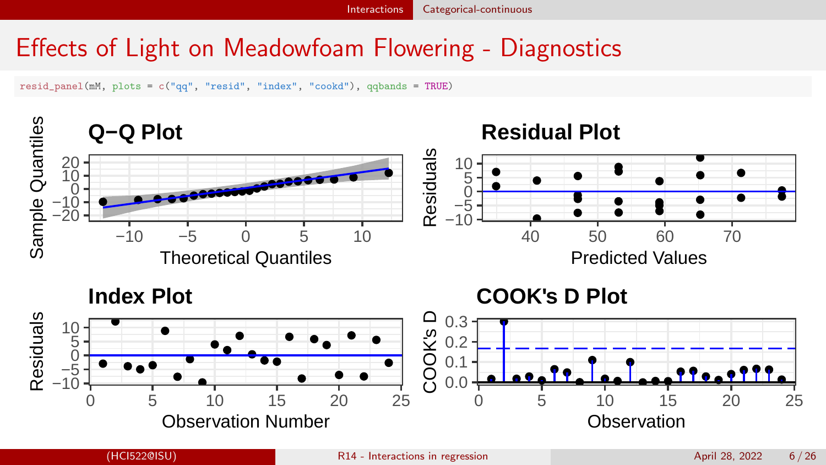[Interactions](#page-1-0) [Categorical-continuous](#page-2-0)

#### Effects of Light on Meadowfoam Flowering - Diagnostics

resid\_panel(mM, plots = c("qq", "resid", "index", "cookd"), qqbands = TRUE)

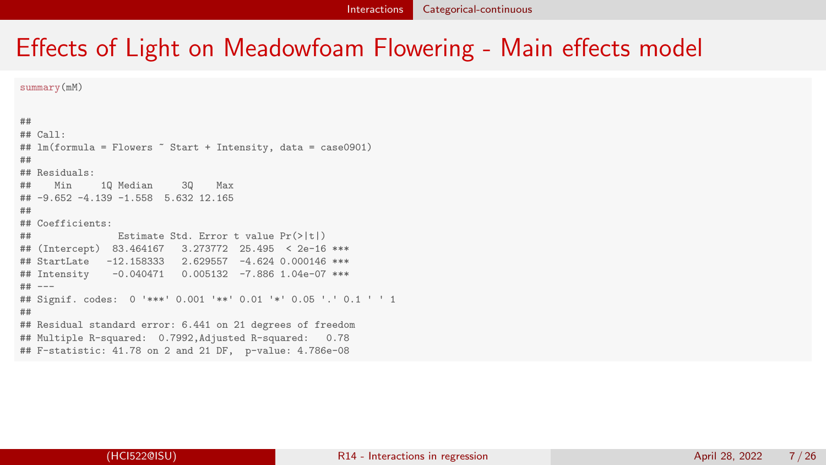summary(mM)

## ## Call: ## lm(formula = Flowers ~ Start + Intensity, data = case0901) ## ## Residuals: ## Min 1Q Median 3Q Max ## -9.652 -4.139 -1.558 5.632 12.165 ## ## Coefficients: ## Estimate Std. Error t value Pr(>|t|) ## (Intercept) 83.464167 3.273772 25.495 < 2e-16 \*\*\* ## StartLate -12.158333 2.629557 -4.624 0.000146 \*\*\* ## Intensity -0.040471 0.005132 -7.886 1.04e-07 \*\*\* ## --- ## Signif. codes: 0 '\*\*\*' 0.001 '\*\*' 0.01 '\*' 0.05 '.' 0.1 ' ' 1 ## ## Residual standard error: 6.441 on 21 degrees of freedom ## Multiple R-squared: 0.7992,Adjusted R-squared: 0.78 ## F-statistic: 41.78 on 2 and 21 DF, p-value: 4.786e-08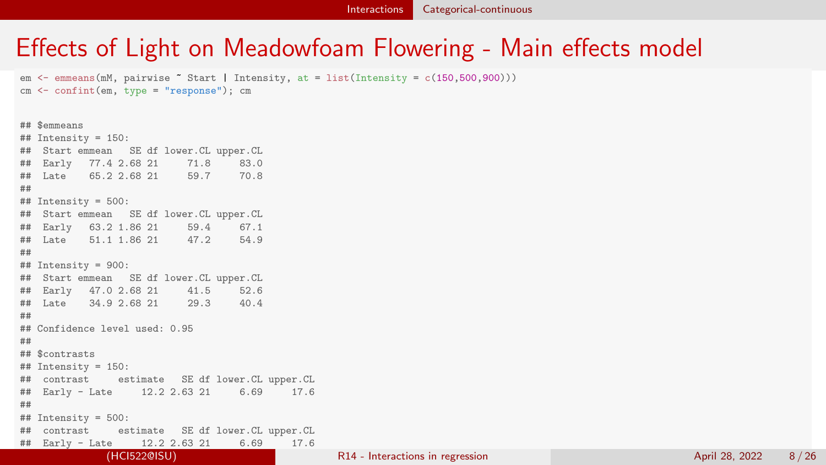em  $\leq$  emmeans(mM, pairwise  $\sim$  Start | Intensity, at = list(Intensity = c(150,500,900))) cm <- confint(em, type = "response"); cm

## \$emmeans ## Intensity = 150: ## Start emmean SE df lower.CL upper.CL ## Early 77.4 2.68 21 71.8 83.0 ## Late 65.2 2.68 21 ## ## Intensity = 500: ## Start emmean SE df lower.CL upper.CL ## Early 63.2 1.86 21 59.4 67.1 ## Late 51.1 1.86 21 47.2 ## ## Intensity = 900: ## Start emmean SE df lower.CL upper.CL ## Early 47.0 2.68 21 41.5 52.6 ## Late 34.9 2.68 21 29.3 ## ## Confidence level used: 0.95 ## ## \$contrasts  $\#$  Intensity = 150: ## contrast estimate SE df lower.CL upper.CL ## Early - Late 12.2 2.63 21 6.69 17.6 ## ## Intensity = 500: ## contrast estimate SE df lower.CL upper.CL ## Early - Late 12.2 2.63 21 6.69 17.6 (HCI522@ISU) [R14 - Interactions in regression](#page-0-0) April 28, 2022 8/26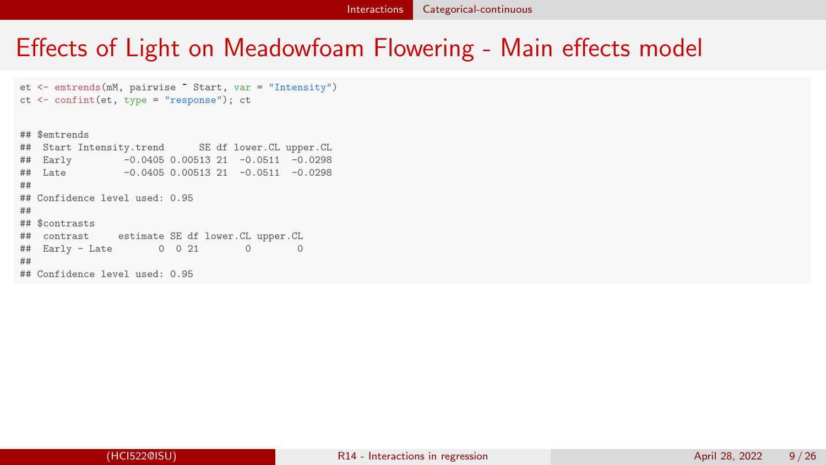```
et <- emtrends(mM, pairwise ~ Start, var = "Intensity")
ct <- confint(et, type = "response"); ct
```
## \$emtrends ## Start Intensity.trend SE df lower.CL upper.CL ## Early -0.0405 0.00513 21 -0.0511 -0.0298  $\#$  Late  $-0.0405$  0.00513 21  $-0.0511$   $-0.0298$ ## ## Confidence level used: 0.95 ## ## \$contrasts ## contrast estimate SE df lower.CL upper.CL ## Early - Late 0 0 21 0 0 ## ## Confidence level used: 0.95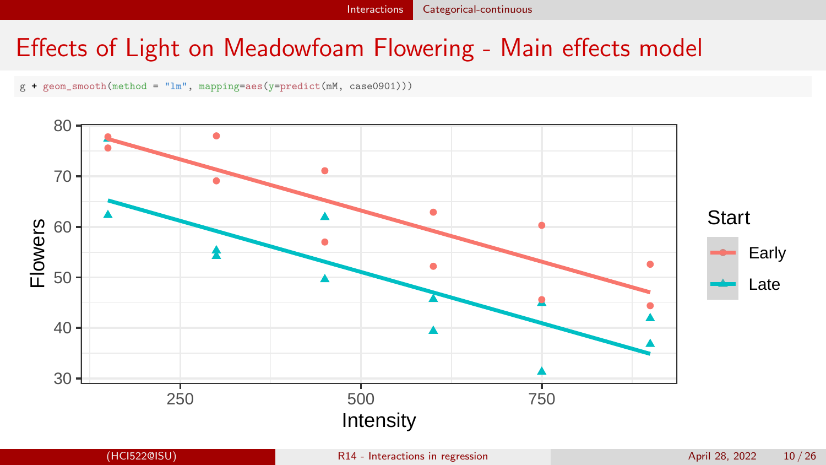g + geom\_smooth(method = "lm", mapping=aes(y=predict(mM, case0901)))

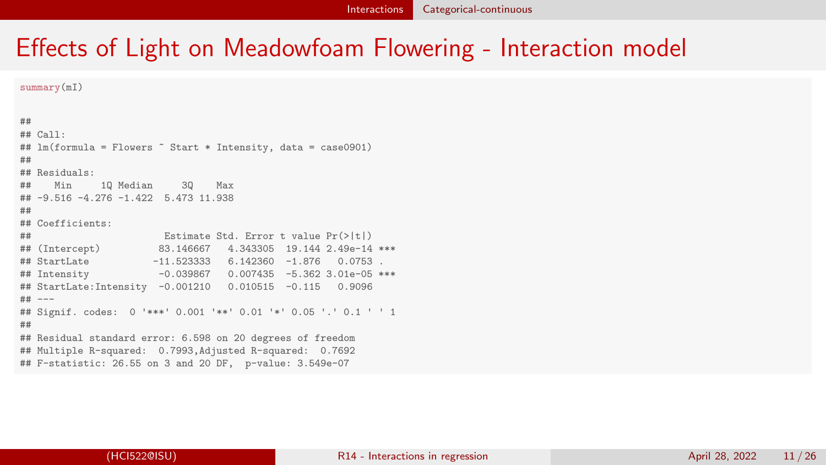summary(mI)

## ## Call: ## lm(formula = Flowers ~ Start \* Intensity, data = case0901) ## ## Residuals: ## Min 1Q Median 3Q Max ## -9.516 -4.276 -1.422 5.473 11.938 ## ## Coefficients: ## Estimate Std. Error t value Pr(>|t|) ## (Intercept) 83.146667 4.343305 19.144 2.49e-14 \*\*\*  $-11.523333$  6.142360  $-1.876$  0.0753 ## Intensity -0.039867 0.007435 -5.362 3.01e-05 \*\*\* ## StartLate:Intensity -0.001210 0.010515 -0.115 0.9096 ## --- ## Signif. codes: 0 '\*\*\*' 0.001 '\*\*' 0.01 '\*' 0.05 '.' 0.1 ' ' 1 ## ## Residual standard error: 6.598 on 20 degrees of freedom ## Multiple R-squared: 0.7993,Adjusted R-squared: 0.7692 ## F-statistic: 26.55 on 3 and 20 DF, p-value: 3.549e-07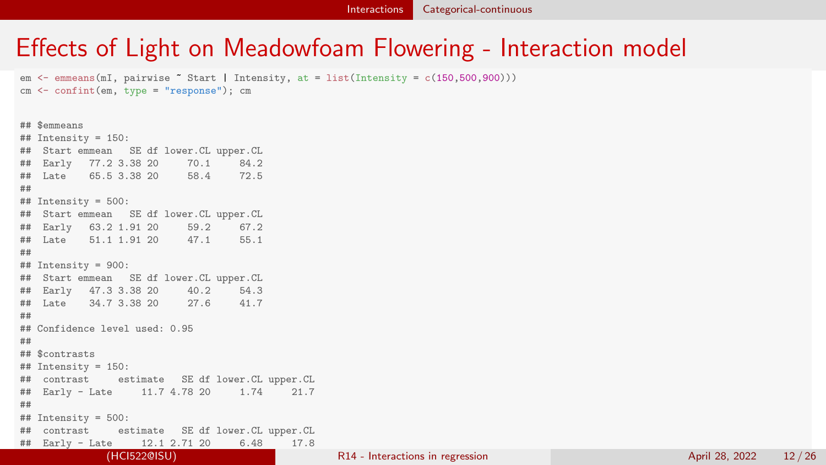em  $\leq$  emmeans(mI, pairwise  $\sim$  Start | Intensity, at = list(Intensity = c(150,500,900))) cm <- confint(em, type = "response"); cm

## \$emmeans ## Intensity = 150: ## Start emmean SE df lower.CL upper.CL ## Early 77.2 3.38 20 70.1 84.2 ## Late 65.5 3.38 20 58.4 ## ## Intensity = 500: ## Start emmean SE df lower.CL upper.CL ## Early 63.2 1.91 20 59.2 67.2 ## Late 51.1 1.91 20 47.1 ## ## Intensity = 900: ## Start emmean SE df lower.CL upper.CL ## Early 47.3 3.38 20 40.2 54.3 ## Late 34.7 3.38 20 27.6 ## ## Confidence level used: 0.95 ## ## \$contrasts  $\#$  Intensity = 150: ## contrast estimate SE df lower.CL upper.CL ## Early - Late 11.7 4.78 20 1.74 21.7 ## ## Intensity = 500: ## contrast estimate SE df lower.CL upper.CL ## Early - Late 12.1 2.71 20 6.48 17.8 (HCI522@ISU) [R14 - Interactions in regression](#page-0-0) April 28, 2022 12 / 26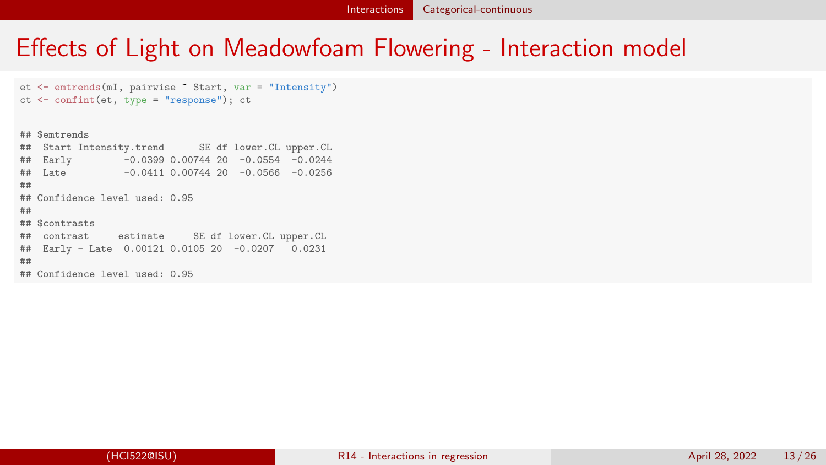```
et <- emtrends(mI, pairwise ~ Start, var = "Intensity")
ct <- confint(et, type = "response"); ct
```
## \$emtrends ## Start Intensity.trend SE df lower.CL upper.CL ## Early -0.0399 0.00744 20 -0.0554 -0.0244  $\#$  Late  $-0.0411$  0.00744 20  $-0.0566$   $-0.0256$ ## ## Confidence level used: 0.95 ## ## \$contrasts ## contrast estimate SE df lower.CL upper.CL ## Early - Late 0.00121 0.0105 20 -0.0207 0.0231 ## ## Confidence level used: 0.95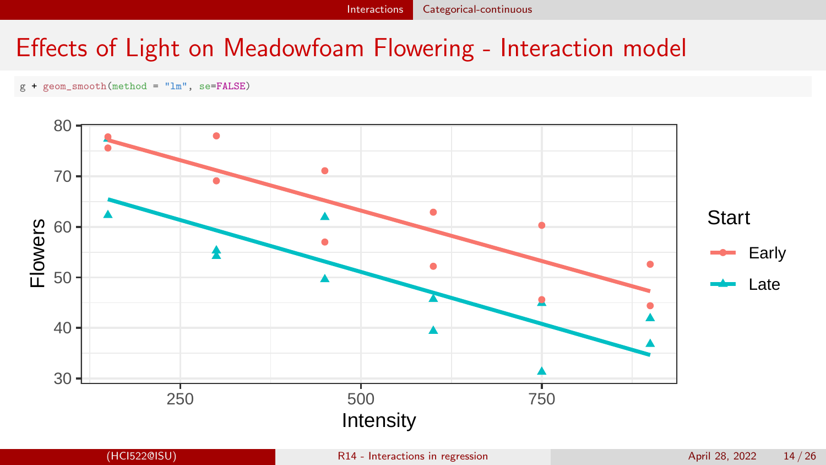g + geom\_smooth(method = "lm", se=FALSE)

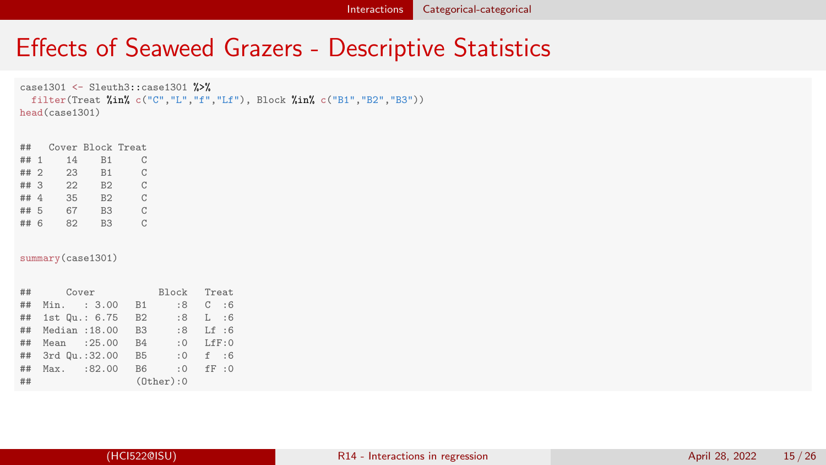# <span id="page-14-0"></span>Effects of Seaweed Grazers - Descriptive Statistics

```
case1301 <- Sleuth3::case1301 %>%
 filter(Treat %in% c("C","L","f","Lf"), Block %in% c("B1","B2","B3"))
head(case1301)
```

| Cover Block Treat |
|-------------------|
| C                 |
| C                 |
| C                 |
| C                 |
| C                 |
| C                 |
|                   |

summary(case1301)

| ## | Cover          | Block Treat            |            |
|----|----------------|------------------------|------------|
| ## | Min. : 3.00    | B1<br>:8               | $C \t : 6$ |
| ## | 1st Qu.: 6.75  | <b>B2</b><br>:8        | L:6        |
| ## | Median : 18.00 | B <sub>3</sub><br>:8   | Lf : 6     |
| ## | Mean : 25.00   | <b>B4</b><br>$\cdot$ 0 | I.F.F:0    |
| ## | 3rd Qu.:32.00  | <b>B5</b><br>: 0       | f : 6      |
| ## | Max. : 82.00   | B <sub>6</sub><br>: 0  | FF:0       |
| ## |                | $(0$ ther $):0$        |            |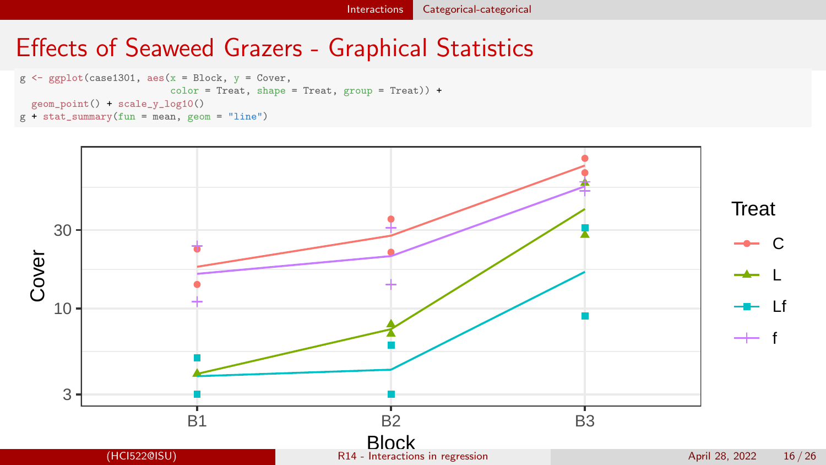#### Effects of Seaweed Grazers - Graphical Statistics



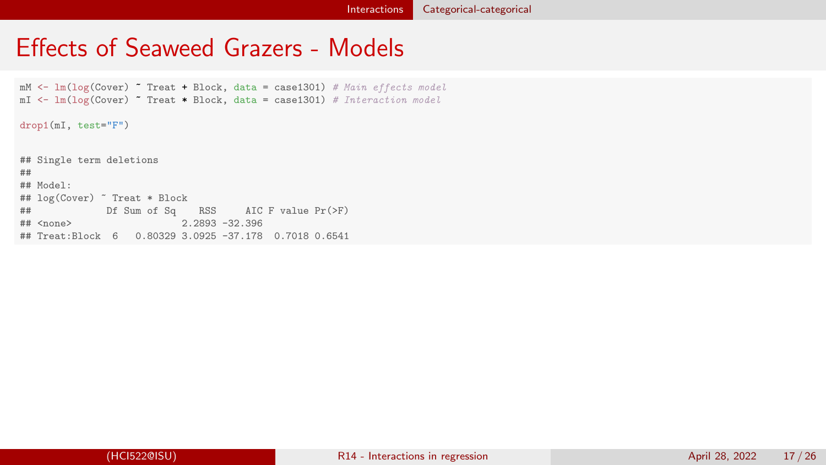#### Effects of Seaweed Grazers - Models

 $mM \leq Im(log(Cover)$   $\tilde{m}$  Treat + Block, data = case1301) # Main effects model  $mI \leftarrow Im(log(Cover)$   $\sim$  Treat \* Block, data = case1301) # Interaction model drop1(mI, test="F") ## Single term deletions ## ## Model: ## log(Cover) ~ Treat \* Block  $#$   $#$  Df Sum of Sq RSS AIC F value Pr(>F)<br> $#$   $#$   $\langle$   $\rangle$   $\langle$   $\rangle$   $\langle$   $\rangle$   $\langle$   $\rangle$   $\langle$   $\rangle$   $\langle$   $\rangle$   $\langle$   $\rangle$   $\langle$   $\rangle$   $\langle$   $\rangle$   $\langle$   $\rangle$   $\langle$   $\rangle$   $\langle$   $\rangle$   $\langle$   $\rangle$   $\langle$   $\rangle$   $\langle$   $\rangle$   $\langle$   $\rangle$   $\langle$   $\rangle$  $2.2893 -32.396$ ## Treat:Block 6 0.80329 3.0925 -37.178 0.7018 0.6541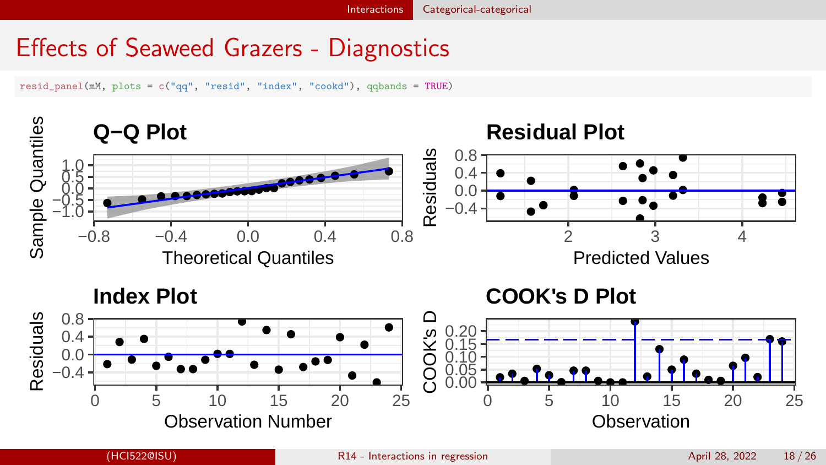## Effects of Seaweed Grazers - Diagnostics

resid\_panel(mM, plots = c("qq", "resid", "index", "cookd"), qqbands = TRUE)

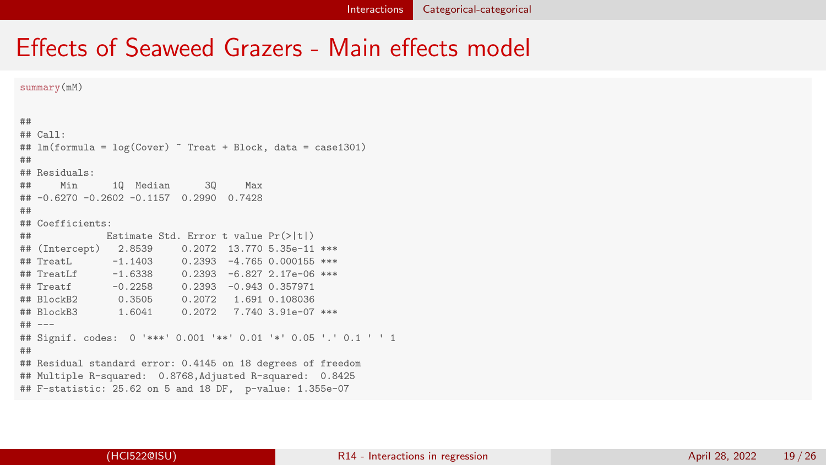#### Effects of Seaweed Grazers - Main effects model

```
summary(mM)
##
## Call:
## lm(formula = log(Cover) ~ Treat + Block, data = case1301)
##
## Residuals:
## Min 1Q Median 3Q Max
## -0.6270 -0.2602 -0.1157 0.2990 0.7428
##
## Coefficients:
## Estimate Std. Error t value Pr(>|t|)
## (Intercept) 2.8539 0.2072 13.770 5.35e-11 ***
              -1.1403 0.2393 -4.765 0.000155 ***
## TreatLf -1.6338 0.2393 -6.827 2.17e-06 ***
## Treatf -0.2258 0.2393 -0.943 0.357971
                         0.2072 1.691 0.108036
## BlockB3 1.6041 0.2072 7.740 3.91e-07 ***
## ---
## Signif. codes: 0 '***' 0.001 '**' 0.01 '*' 0.05 '.' 0.1 ' ' 1
##
## Residual standard error: 0.4145 on 18 degrees of freedom
## Multiple R-squared: 0.8768,Adjusted R-squared: 0.8425
## F-statistic: 25.62 on 5 and 18 DF, p-value: 1.355e-07
```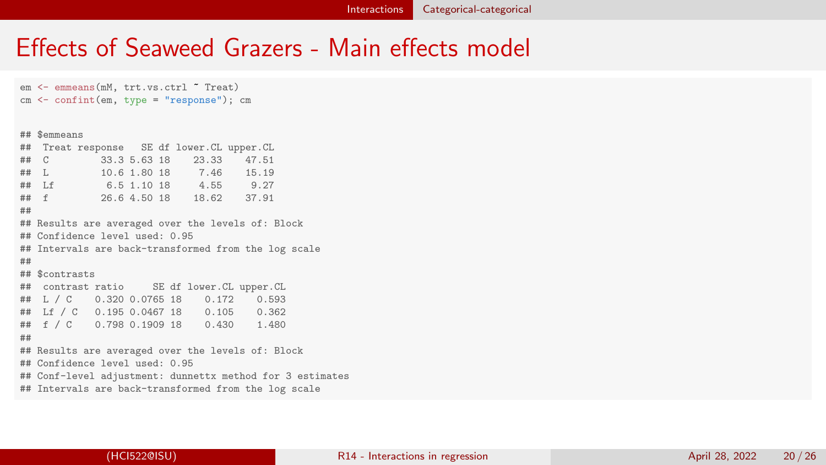#### Effects of Seaweed Grazers - Main effects model

em <- emmeans(mM, trt.vs.ctrl ~ Treat) cm <- confint(em, type = "response"); cm

#### ## \$emmeans

|    |                | ## Treat response SE df lower.CL upper.CL |  |                                                           |  |
|----|----------------|-------------------------------------------|--|-----------------------------------------------------------|--|
|    |                | ## C 33.3 5.63 18 23.33 47.51             |  |                                                           |  |
|    |                | ## L 10.6 1.80 18 7.46 15.19              |  |                                                           |  |
|    |                | ## Lf 6.5 1.10 18 4.55 9.27               |  |                                                           |  |
|    |                | ## f 26.6 4.50 18 18.62 37.91             |  |                                                           |  |
| ## |                |                                           |  |                                                           |  |
|    |                |                                           |  | ## Results are averaged over the levels of: Block         |  |
|    |                | ## Confidence level used: 0.95            |  |                                                           |  |
|    |                |                                           |  | ## Intervals are back-transformed from the log scale      |  |
| ## |                |                                           |  |                                                           |  |
|    | ## \$contrasts |                                           |  |                                                           |  |
|    |                |                                           |  | ## contrast ratio SE df lower. CL upper. CL               |  |
|    |                |                                           |  | ## L / C 0.320 0.0765 18 0.172 0.593                      |  |
|    |                |                                           |  | ## Lf / C 0.195 0.0467 18 0.105 0.362                     |  |
|    |                |                                           |  | ## f / C 0.798 0.1909 18 0.430 1.480                      |  |
| ## |                |                                           |  |                                                           |  |
|    |                |                                           |  | ## Results are averaged over the levels of: Block         |  |
|    |                | ## Confidence level used: 0.95            |  |                                                           |  |
|    |                |                                           |  | ## Conf-level adjustment: dunnettx method for 3 estimates |  |
|    |                |                                           |  | ## Intervals are back-transformed from the log scale      |  |
|    |                |                                           |  |                                                           |  |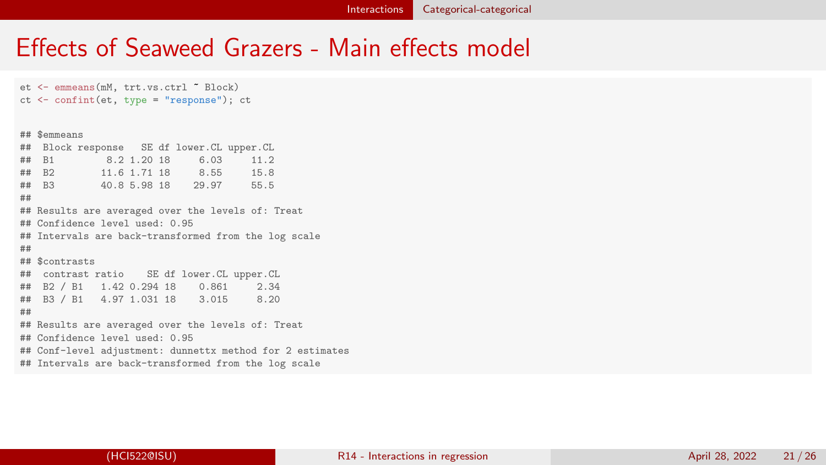#### Effects of Seaweed Grazers - Main effects model

et <- emmeans(mM, trt.vs.ctrl ~ Block) ct <- confint(et, type = "response"); ct

#### ## \$emmeans

|    |                | ## Block response SE df lower. CL upper. CL |  |                                                           |  |
|----|----------------|---------------------------------------------|--|-----------------------------------------------------------|--|
|    |                | ## B1 8.2 1.20 18 6.03 11.2                 |  |                                                           |  |
|    |                |                                             |  |                                                           |  |
|    |                | ## B3 40.8 5.98 18 29.97 55.5               |  |                                                           |  |
| ## |                |                                             |  |                                                           |  |
|    |                |                                             |  | ## Results are averaged over the levels of: Treat         |  |
|    |                | ## Confidence level used: 0.95              |  |                                                           |  |
|    |                |                                             |  | ## Intervals are back-transformed from the log scale      |  |
| ## |                |                                             |  |                                                           |  |
|    | ## \$contrasts |                                             |  |                                                           |  |
|    |                |                                             |  | ## contrast ratio SE df lower. CL upper. CL               |  |
|    |                |                                             |  | ## B2 / B1 1.42 0.294 18 0.861 2.34                       |  |
|    |                |                                             |  | ## B3 / B1 4.97 1.031 18 3.015 8.20                       |  |
| ## |                |                                             |  |                                                           |  |
|    |                |                                             |  | ## Results are averaged over the levels of: Treat         |  |
|    |                | ## Confidence level used: 0.95              |  |                                                           |  |
|    |                |                                             |  | ## Conf-level adjustment: dunnettx method for 2 estimates |  |
|    |                |                                             |  | ## Intervals are back-transformed from the log scale      |  |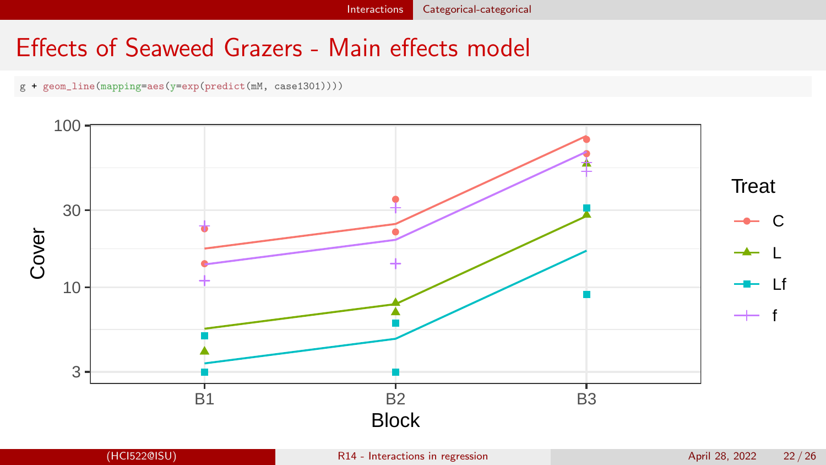[Interactions](#page-1-0) [Categorical-categorical](#page-14-0)

## Effects of Seaweed Grazers - Main effects model

g + geom\_line(mapping=aes(y=exp(predict(mM, case1301))))

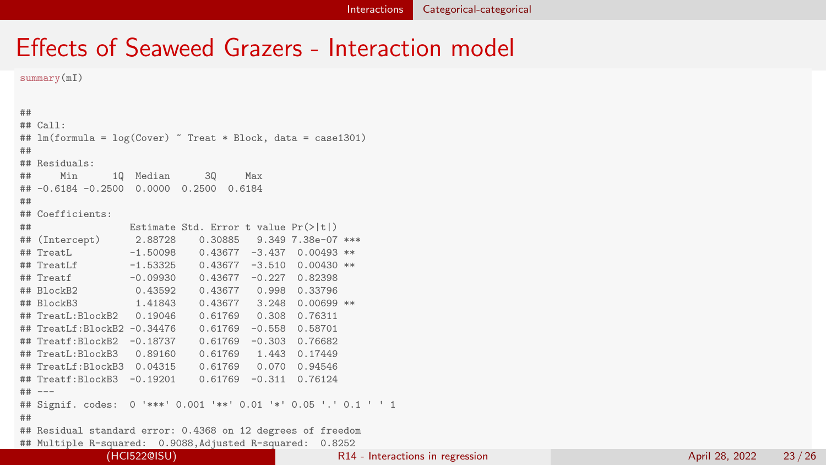summary(mI)

```
##
## Call:
## lm(formula = log(Cover) ~ Treat * Block, data = case1301)
##
## Residuals:
## Min 1Q Median 3Q Max
## -0.6184 -0.2500 0.0000 0.2500 0.6184
##
## Coefficients:
## Estimate Std. Error t value Pr(>|t|)
                                     9.3497.38e-07 ***
## TreatL -1.50098 0.43677 -3.437 0.00493 **
## TreatLf -1.53325 0.43677 -3.510 0.00430 **
                           0.43677 -0.227 0.82398## BlockB2 0.43592 0.43677 0.998 0.33796
                 ## BlockB3 1.41843 0.43677 3.248 0.00699 **
## TreatL:BlockB2
## TreatLf:BlockB2 -0.34476 0.61769 -0.558 0.58701
## Treatf:BlockB2 -0.18737 0.61769 -0.303 0.76682
## TreatL:BlockB3 0.89160 0.61769 1.443 0.17449
## TreatLf:BlockB3 0.04315
## Treatf:BlockB3 -0.19201 0.61769 -0.311 0.76124
## ---
## Signif. codes: 0 '***' 0.001 '**' 0.01 '*' 0.05 '.' 0.1 ' ' 1
##
## Residual standard error: 0.4368 on 12 degrees of freedom
## Multiple R-squared: 0.9088,Adjusted R-squared: 0.8252
```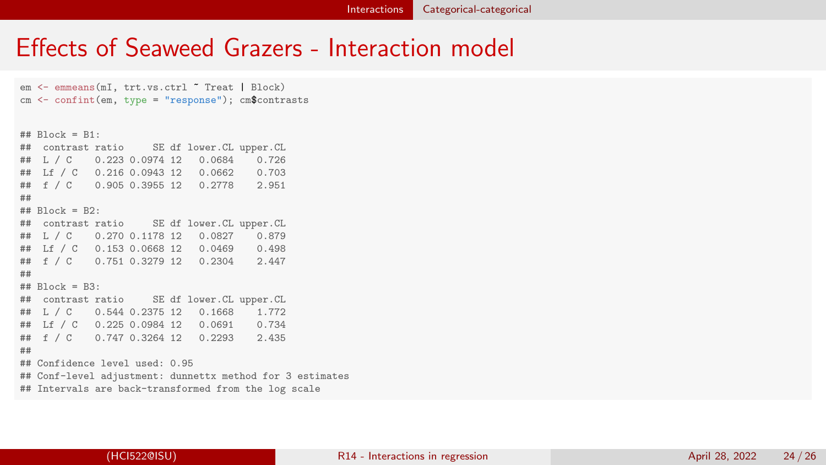em <- emmeans(mI, trt.vs.ctrl ~ Treat | Block) cm <- confint(em, type = "response"); cm\$contrasts

## Block = B1: SE df lower.CL upper.CL ## L / C 0.223 0.0974 12 0.0684 0.726 ## Lf / C 0.216 0.0943 12 0.0662 0.703 ## f / C 0.905 0.3955 12 0.2778 2.951 ## ## Block = B2: ## contrast ratio SE df lower.CL upper.CL ## L / C 0.270 0.1178 12 0.0827 0.879 ## Lf / C 0.153 0.0668 12 0.0469 0.498 ## f / C 0.751 0.3279 12 0.2304 ## ## Block = B3: SE df lower.CL upper.CL ## L / C 0.544 0.2375 12 0.1668 1.772 ## Lf / C 0.225 0.0984 12 0.0691 0.734 ## f / C 0.747 0.3264 12 0.2293 ## ## Confidence level used: 0.95 ## Conf-level adjustment: dunnettx method for 3 estimates ## Intervals are back-transformed from the log scale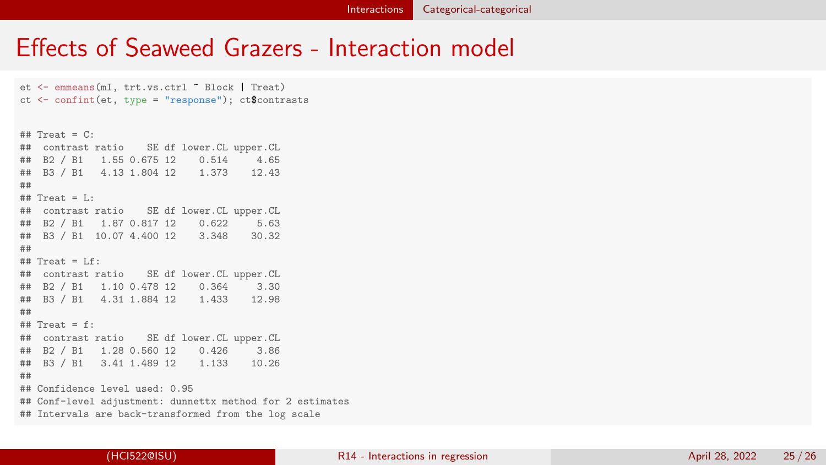et <- emmeans(mI, trt.vs.ctrl ~ Block | Treat) ct <- confint(et, type = "response"); ct\$contrasts  $\#$  Treat =  $C:$ ## contrast ratio SE df lower.CL upper.CL ## B2 / B1 1.55 0.675 12 0.514 4.65 ## B3 / B1 4.13 1.804 12 1.373 12.43 ##  $\#$  Treat = L: ## contrast ratio SE df lower.CL upper.CL ## B2 / B1 1.87 0.817 12 0.622 5.63 ## B3 / B1 10.07 4.400 12 3.348 ##  $\#$  Treat =  $If:$ ## contrast ratio SE df lower.CL upper.CL ## B2 / B1 1.10 0.478 12 ## B3 / B1 4.31 1.884 12 1.433 12.98 ##  $\#$  Treat = f: ## contrast ratio SE df lower.CL upper.CL ## B2 / B1 1.28 0.560 12 0.426 3.86 ## B3 / B1 3.41 1.489 12 1.133 10.26 ## ## Confidence level used: 0.95 ## Conf-level adjustment: dunnettx method for 2 estimates ## Intervals are back-transformed from the log scale